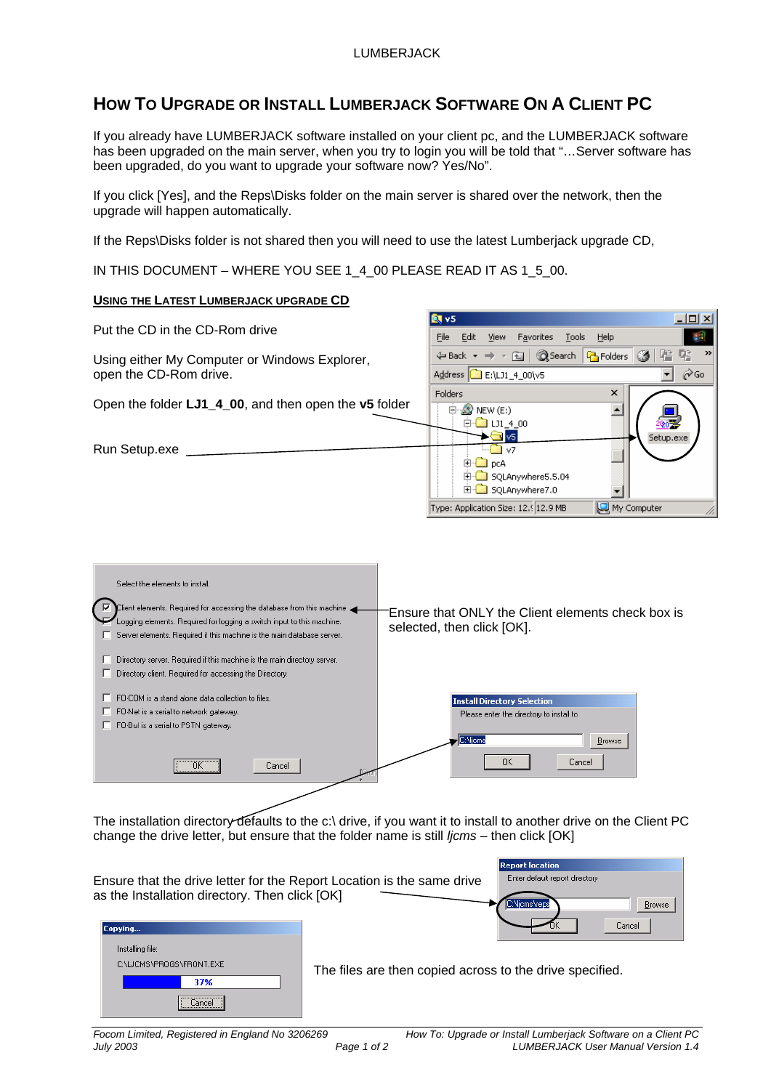## **HOW TO UPGRADE OR INSTALL LUMBERJACK SOFTWARE ON A CLIENT PC**

If you already have LUMBERJACK software installed on your client pc, and the LUMBERJACK software has been upgraded on the main server, when you try to login you will be told that "…Server software has been upgraded, do you want to upgrade your software now? Yes/No".

If you click [Yes], and the Reps\Disks folder on the main server is shared over the network, then the upgrade will happen automatically.

If the Reps\Disks folder is not shared then you will need to use the latest Lumberjack upgrade CD,

IN THIS DOCUMENT – WHERE YOU SEE 1\_4\_00 PLEASE READ IT AS 1\_5\_00.

## **USING THE LATEST LUMBERJACK UPGRADE CD**

| Put the CD in the CD-Rom drive                        | ___                                                                     |
|-------------------------------------------------------|-------------------------------------------------------------------------|
|                                                       | Edit<br>File<br>Favorites<br>View<br>Help<br><b>Tools</b>               |
| Using either My Computer or Windows Explorer,         | $\rightarrow$<br>←Back → → 在   @Search   <mark>各</mark> Folders ③   階 配 |
| open the CD-Rom drive.                                | Address <b>C</b> E:\LJ1_4_00\v5<br><b>∂</b> Go                          |
|                                                       | ×<br><b>Folders</b>                                                     |
| Open the folder LJ1_4_00, and then open the v5 folder | $\Box$ $\Box$ NEW (E:)                                                  |
|                                                       | 白 <mark>- 13</mark> LJ1 4 00<br>$\blacksquare$ v5.<br>Setup.exe         |
| Run Setup.exe                                         | $\sqrt{7}$                                                              |
|                                                       | <b>D</b> DCA<br>中 SQLAnywhere5.5.04                                     |
|                                                       | E-C SQLAnywhere7.0                                                      |
|                                                       | My Computer<br>Type: Application Size: 12.9 JMB                         |
|                                                       |                                                                         |
|                                                       |                                                                         |

**Ballys** 

 $\Box$ ml xi



The installation directory defaults to the c:\ drive, if you want it to install to another drive on the Client PC change the drive letter, but ensure that the folder name is still *ljcms* – then click [OK]

| Ensure that the drive letter for the Report Location is the same drive<br>as the Installation directory. Then click [OK] | Incharce Incornan<br>Enter default report directory<br>C:NicmsNreps<br>Browse |
|--------------------------------------------------------------------------------------------------------------------------|-------------------------------------------------------------------------------|
| Copying<br>Installing file:<br>C:\LJCMS\PROGS\FRONT.EXE<br>37%<br>Cancel<br>                                             | Cancel<br>The files are then copied across to the drive specified.            |

*Focom Limited, Registered in England No 3206269 How To: Upgrade or Install Lumberjack Software on a Client PC*  Page 1 of 2 LUMBERJACK User Manual Version 1.4